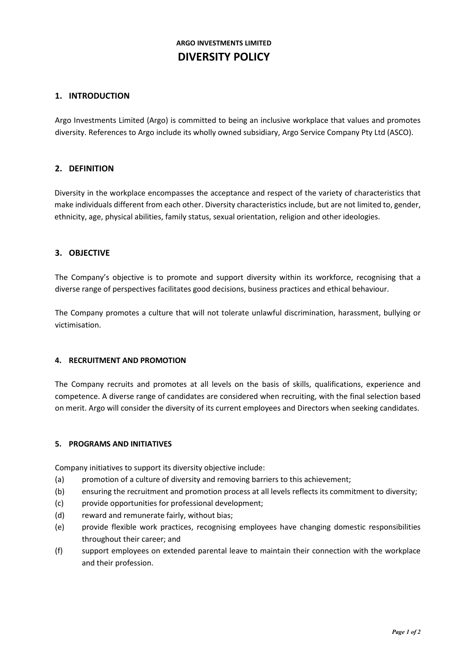# **ARGO INVESTMENTS LIMITED DIVERSITY POLICY**

# **1. INTRODUCTION**

Argo Investments Limited (Argo) is committed to being an inclusive workplace that values and promotes diversity. References to Argo include its wholly owned subsidiary, Argo Service Company Pty Ltd (ASCO).

## **2. DEFINITION**

Diversity in the workplace encompasses the acceptance and respect of the variety of characteristics that make individuals different from each other. Diversity characteristics include, but are not limited to, gender, ethnicity, age, physical abilities, family status, sexual orientation, religion and other ideologies.

## **3. OBJECTIVE**

The Company's objective is to promote and support diversity within its workforce, recognising that a diverse range of perspectives facilitates good decisions, business practices and ethical behaviour.

The Company promotes a culture that will not tolerate unlawful discrimination, harassment, bullying or victimisation.

#### **4. RECRUITMENT AND PROMOTION**

The Company recruits and promotes at all levels on the basis of skills, qualifications, experience and competence. A diverse range of candidates are considered when recruiting, with the final selection based on merit. Argo will consider the diversity of its current employees and Directors when seeking candidates.

#### **5. PROGRAMS AND INITIATIVES**

Company initiatives to support its diversity objective include:

- (a) promotion of a culture of diversity and removing barriers to this achievement;
- (b) ensuring the recruitment and promotion process at all levels reflects its commitment to diversity;
- (c) provide opportunities for professional development;
- (d) reward and remunerate fairly, without bias;
- (e) provide flexible work practices, recognising employees have changing domestic responsibilities throughout their career; and
- (f) support employees on extended parental leave to maintain their connection with the workplace and their profession.